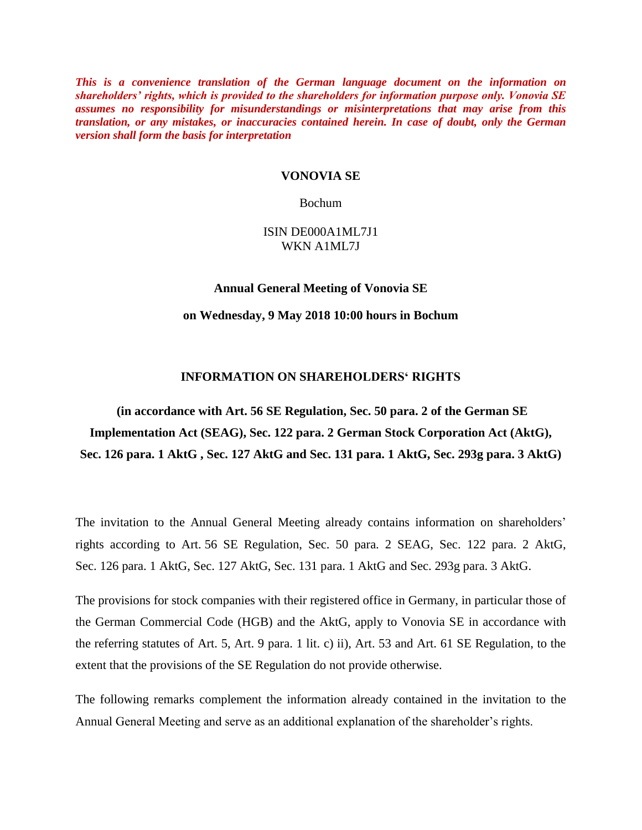*This is a convenience translation of the German language document on the information on shareholders' rights, which is provided to the shareholders for information purpose only. Vonovia SE assumes no responsibility for misunderstandings or misinterpretations that may arise from this translation, or any mistakes, or inaccuracies contained herein. In case of doubt, only the German version shall form the basis for interpretation*

#### **VONOVIA SE**

#### Bochum

### ISIN DE000A1ML7J1 WKN A1ML7J

## **Annual General Meeting of Vonovia SE**

#### **on Wednesday, 9 May 2018 10:00 hours in Bochum**

### **INFORMATION ON SHAREHOLDERS' RIGHTS**

# **(in accordance with Art. 56 SE Regulation, Sec. 50 para. 2 of the German SE Implementation Act (SEAG), Sec. 122 para. 2 German Stock Corporation Act (AktG), Sec. 126 para. 1 AktG , Sec. 127 AktG and Sec. 131 para. 1 AktG, Sec. 293g para. 3 AktG)**

The invitation to the Annual General Meeting already contains information on shareholders' rights according to Art. 56 SE Regulation, Sec. 50 para. 2 SEAG, Sec. 122 para. 2 AktG, Sec. 126 para. 1 AktG, Sec. 127 AktG, Sec. 131 para. 1 AktG and Sec. 293g para. 3 AktG.

The provisions for stock companies with their registered office in Germany, in particular those of the German Commercial Code (HGB) and the AktG, apply to Vonovia SE in accordance with the referring statutes of Art. 5, Art. 9 para. 1 lit. c) ii), Art. 53 and Art. 61 SE Regulation, to the extent that the provisions of the SE Regulation do not provide otherwise.

The following remarks complement the information already contained in the invitation to the Annual General Meeting and serve as an additional explanation of the shareholder's rights.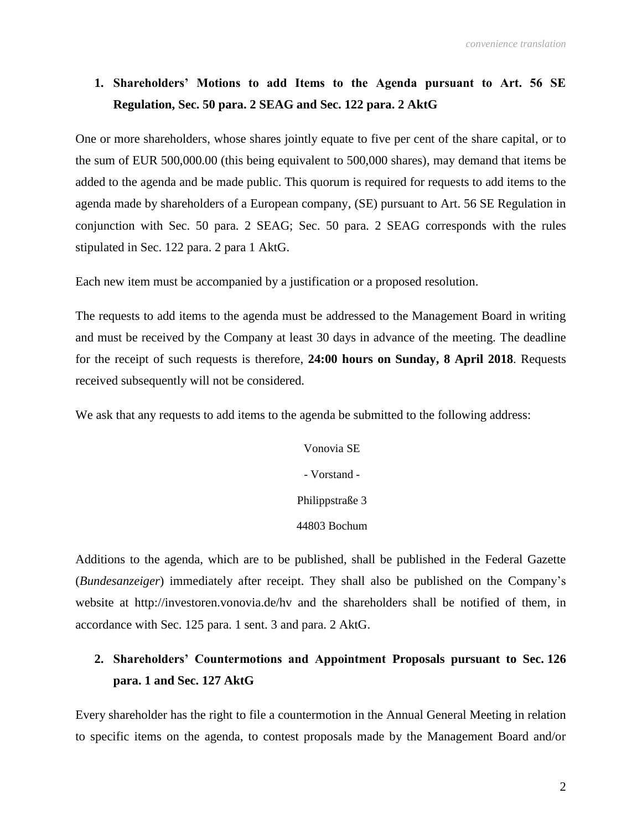## **1. Shareholders' Motions to add Items to the Agenda pursuant to Art. 56 SE Regulation, Sec. 50 para. 2 SEAG and Sec. 122 para. 2 AktG**

One or more shareholders, whose shares jointly equate to five per cent of the share capital, or to the sum of EUR 500,000.00 (this being equivalent to 500,000 shares), may demand that items be added to the agenda and be made public. This quorum is required for requests to add items to the agenda made by shareholders of a European company, (SE) pursuant to Art. 56 SE Regulation in conjunction with Sec. 50 para. 2 SEAG; Sec. 50 para. 2 SEAG corresponds with the rules stipulated in Sec. 122 para. 2 para 1 AktG.

Each new item must be accompanied by a justification or a proposed resolution.

The requests to add items to the agenda must be addressed to the Management Board in writing and must be received by the Company at least 30 days in advance of the meeting. The deadline for the receipt of such requests is therefore, **24:00 hours on Sunday, 8 April 2018**. Requests received subsequently will not be considered.

We ask that any requests to add items to the agenda be submitted to the following address:

Vonovia SE - Vorstand - Philippstraße 3 44803 Bochum

Additions to the agenda, which are to be published, shall be published in the Federal Gazette (*Bundesanzeiger*) immediately after receipt. They shall also be published on the Company's website at http://investoren.vonovia.de/hv and the shareholders shall be notified of them, in accordance with Sec. 125 para. 1 sent. 3 and para. 2 AktG.

## **2. Shareholders' Countermotions and Appointment Proposals pursuant to Sec. 126 para. 1 and Sec. 127 AktG**

Every shareholder has the right to file a countermotion in the Annual General Meeting in relation to specific items on the agenda, to contest proposals made by the Management Board and/or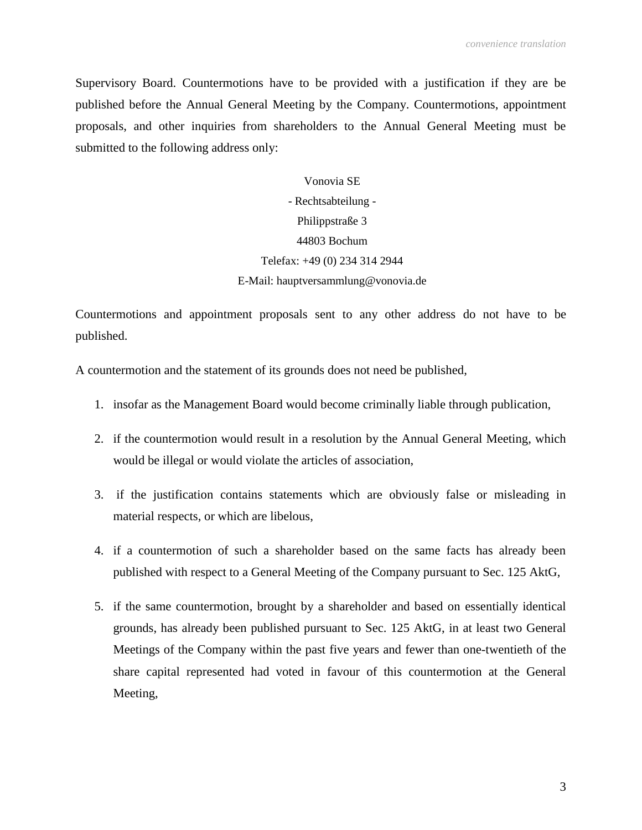Supervisory Board. Countermotions have to be provided with a justification if they are be published before the Annual General Meeting by the Company. Countermotions, appointment proposals, and other inquiries from shareholders to the Annual General Meeting must be submitted to the following address only:

> Vonovia SE - Rechtsabteilung - Philippstraße 3 44803 Bochum Telefax: +49 (0) 234 314 2944 E-Mail: hauptversammlung@vonovia.de

Countermotions and appointment proposals sent to any other address do not have to be published.

A countermotion and the statement of its grounds does not need be published,

- 1. insofar as the Management Board would become criminally liable through publication,
- 2. if the countermotion would result in a resolution by the Annual General Meeting, which would be illegal or would violate the articles of association,
- 3. if the justification contains statements which are obviously false or misleading in material respects, or which are libelous,
- 4. if a countermotion of such a shareholder based on the same facts has already been published with respect to a General Meeting of the Company pursuant to Sec. 125 AktG,
- 5. if the same countermotion, brought by a shareholder and based on essentially identical grounds, has already been published pursuant to Sec. 125 AktG, in at least two General Meetings of the Company within the past five years and fewer than one-twentieth of the share capital represented had voted in favour of this countermotion at the General Meeting,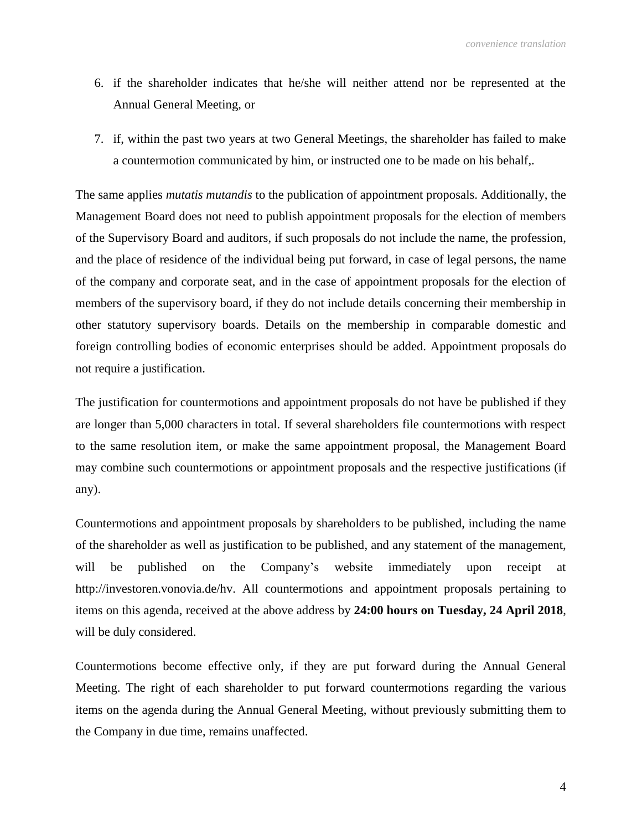- 6. if the shareholder indicates that he/she will neither attend nor be represented at the Annual General Meeting, or
- 7. if, within the past two years at two General Meetings, the shareholder has failed to make a countermotion communicated by him, or instructed one to be made on his behalf,.

The same applies *mutatis mutandis* to the publication of appointment proposals. Additionally, the Management Board does not need to publish appointment proposals for the election of members of the Supervisory Board and auditors, if such proposals do not include the name, the profession, and the place of residence of the individual being put forward, in case of legal persons, the name of the company and corporate seat, and in the case of appointment proposals for the election of members of the supervisory board, if they do not include details concerning their membership in other statutory supervisory boards. Details on the membership in comparable domestic and foreign controlling bodies of economic enterprises should be added. Appointment proposals do not require a justification.

The justification for countermotions and appointment proposals do not have be published if they are longer than 5,000 characters in total. If several shareholders file countermotions with respect to the same resolution item, or make the same appointment proposal, the Management Board may combine such countermotions or appointment proposals and the respective justifications (if any).

Countermotions and appointment proposals by shareholders to be published, including the name of the shareholder as well as justification to be published, and any statement of the management, will be published on the Company's website immediately upon receipt at http://investoren.vonovia.de/hv. All countermotions and appointment proposals pertaining to items on this agenda, received at the above address by **24:00 hours on Tuesday, 24 April 2018**, will be duly considered.

Countermotions become effective only, if they are put forward during the Annual General Meeting. The right of each shareholder to put forward countermotions regarding the various items on the agenda during the Annual General Meeting, without previously submitting them to the Company in due time, remains unaffected.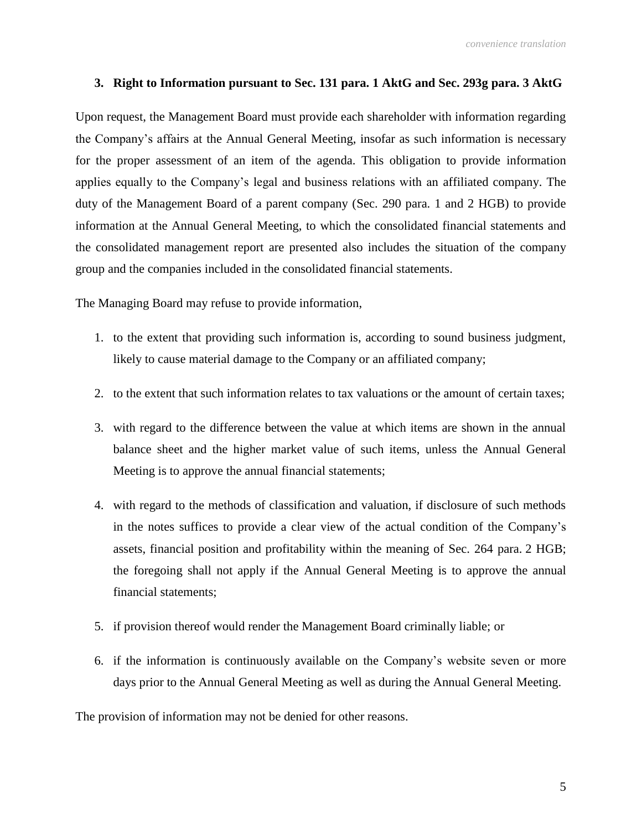### **3. Right to Information pursuant to Sec. 131 para. 1 AktG and Sec. 293g para. 3 AktG**

Upon request, the Management Board must provide each shareholder with information regarding the Company's affairs at the Annual General Meeting, insofar as such information is necessary for the proper assessment of an item of the agenda. This obligation to provide information applies equally to the Company's legal and business relations with an affiliated company. The duty of the Management Board of a parent company (Sec. 290 para. 1 and 2 HGB) to provide information at the Annual General Meeting, to which the consolidated financial statements and the consolidated management report are presented also includes the situation of the company group and the companies included in the consolidated financial statements.

The Managing Board may refuse to provide information,

- 1. to the extent that providing such information is, according to sound business judgment, likely to cause material damage to the Company or an affiliated company;
- 2. to the extent that such information relates to tax valuations or the amount of certain taxes;
- 3. with regard to the difference between the value at which items are shown in the annual balance sheet and the higher market value of such items, unless the Annual General Meeting is to approve the annual financial statements;
- 4. with regard to the methods of classification and valuation, if disclosure of such methods in the notes suffices to provide a clear view of the actual condition of the Company's assets, financial position and profitability within the meaning of Sec. 264 para. 2 HGB; the foregoing shall not apply if the Annual General Meeting is to approve the annual financial statements;
- 5. if provision thereof would render the Management Board criminally liable; or
- 6. if the information is continuously available on the Company's website seven or more days prior to the Annual General Meeting as well as during the Annual General Meeting.

The provision of information may not be denied for other reasons.